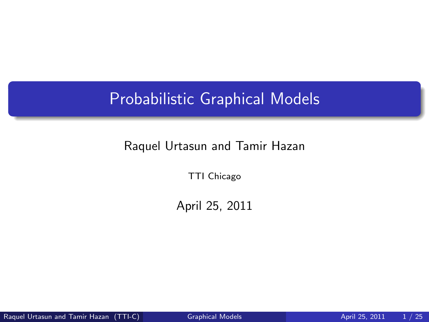# Probabilistic Graphical Models

#### Raquel Urtasun and Tamir Hazan

TTI Chicago

<span id="page-0-0"></span>April 25, 2011

Raquel Urtasun and Tamir Hazan (TTI-C) [Graphical Models](#page-24-0) **April 25, 2011** 1/25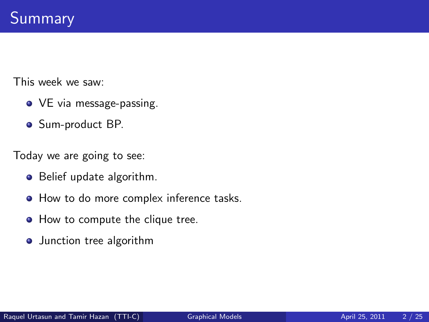This week we saw:

- VE via message-passing.
- Sum-product BP.

Today we are going to see:

- Belief update algorithm.
- $\bullet$  How to do more complex inference tasks.
- How to compute the clique tree.
- **•** Junction tree algorithm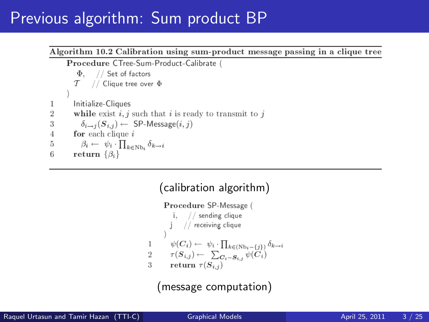## Previous algorithm: Sum product BP

#### Algorithm 10.2 Calibration using sum-product message passing in a clique tree Procedure CTree-Sum-Product-Calibrate (  $\Phi$ . // Set of factors

$$
\begin{array}{cc}\mathcal{T} & // \text{ Clique tree over } \Phi \\ \end{array}
$$

$$
1 \qquad \hbox{Initialize-Cliques} \\
$$

 $\overline{2}$ while exist  $i, j$  such that i is ready to transmit to j

3 
$$
\delta_{i \to j}(S_{i,j}) \leftarrow \text{ SP-Message}(i, j)
$$

for each clique  $i$  $\overline{4}$ 

5 
$$
\beta_i \leftarrow \psi_i \cdot \prod_{k \in \text{Nb}_i} \delta_{k \to i}
$$

6 return  $\{\beta_i\}$ 

#### (calibration algorithm)

Procedure SP-Message (  $i,$  // sending clique  $//$  receiving clique  $\psi(C_i) \leftarrow \psi_i \cdot \prod_{k \in (\text{Nb}_i - \{i\})} \delta_{k \to i}$ 1  $\tau(S_{i,j}) \leftarrow \sum_{\bm{C_i} - \bm{S_{i,j}}} \psi(\bm{C_i})$  $\overline{2}$ return  $\tau(S_{i,j})$ 3

(message computation)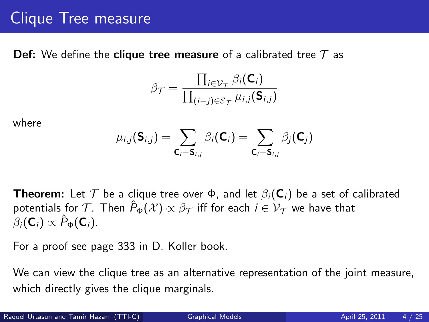# Clique Tree measure

**Def:** We define the **clique tree measure** of a calibrated tree  $\mathcal T$  as

$$
\beta_{\mathcal{T}} = \frac{\prod_{i \in \mathcal{V}_{\mathcal{T}}} \beta_i(\mathbf{C}_i)}{\prod_{(i-j) \in \mathcal{E}_{\mathcal{T}}} \mu_{i,j}(\mathbf{S}_{i,j})}
$$

where

$$
\mu_{i,j}(\mathbf{S}_{i,j}) = \sum_{\mathbf{C}_i - \mathbf{S}_{i,j}} \beta_i(\mathbf{C}_i) = \sum_{\mathbf{C}_i - \mathbf{S}_{i,j}} \beta_j(\mathbf{C}_j)
$$

**Theorem:** Let  $\mathcal T$  be a clique tree over  $\Phi$ , and let  $\beta_i(\mathsf{C}_i)$  be a set of calibrated potentials for T. Then  $\hat{P}_{\Phi}(\mathcal{X}) \propto \beta_{\mathcal{T}}$  iff for each  $i \in \mathcal{V}_{\mathcal{T}}$  we have that  $\beta_i(\mathbf{C}_i) \propto \hat{P}_{\Phi}(\mathbf{C}_i).$ 

For a proof see page 333 in D. Koller book.

We can view the clique tree as an alternative representation of the joint measure, which directly gives the clique marginals.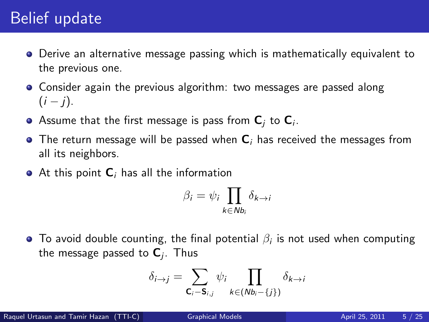# Belief update

- Derive an alternative message passing which is mathematically equivalent to the previous one.
- Consider again the previous algorithm: two messages are passed along  $(i - j)$ .
- Assume that the first message is pass from  ${\bf C}_j$  to  ${\bf C}_i.$
- $\bullet$  The return message will be passed when  $C_i$  has received the messages from all its neighbors.
- $\bullet$  At this point  $\mathsf{C}_i$  has all the information

$$
\beta_i = \psi_i \prod_{k \in Nb_i} \delta_{k \to i}
$$

To avoid double counting, the final potential  $\beta_i$  is not used when computing the message passed to  $\mathsf{C}_j$ . Thus

$$
\delta_{i \to j} = \sum_{\mathbf{C}_i - \mathbf{S}_{i,j}} \psi_i \prod_{k \in (Nb_i - \{j\})} \delta_{k \to i}
$$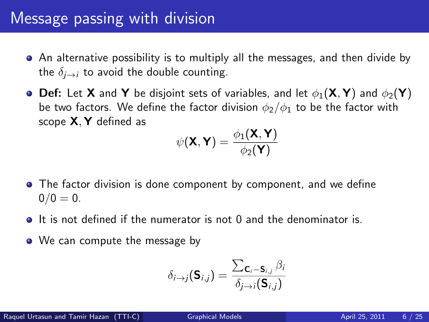## Message passing with division

- An alternative possibility is to multiply all the messages, and then divide by the  $\delta_{i\rightarrow i}$  to avoid the double counting.
- **Def:** Let **X** and **Y** be disjoint sets of variables, and let  $\phi_1(\mathbf{X}, \mathbf{Y})$  and  $\phi_2(\mathbf{Y})$ be two factors. We define the factor division  $\phi_2/\phi_1$  to be the factor with scope X, Y defined as

$$
\psi(\mathbf{X}, \mathbf{Y}) = \frac{\phi_1(\mathbf{X}, \mathbf{Y})}{\phi_2(\mathbf{Y})}
$$

- The factor division is done component by component, and we define  $0/0 = 0.$
- $\bullet$  It is not defined if the numerator is not 0 and the denominator is.
- We can compute the message by

$$
\delta_{i\rightarrow j}(\mathbf{S}_{i,j}) = \frac{\sum_{\mathbf{C}_i-\mathbf{S}_{i,j}} \beta_i}{\delta_{j\rightarrow i}(\mathbf{S}_{i,j})}
$$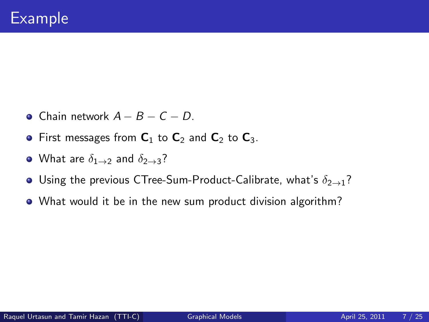- $\bullet$  Chain network  $A B C D$ .
- First messages from  $C_1$  to  $C_2$  and  $C_2$  to  $C_3$ .
- What are  $\delta_{1\rightarrow 2}$  and  $\delta_{2\rightarrow 3}$ ?
- **•** Using the previous CTree-Sum-Product-Calibrate, what's  $\delta_{2\rightarrow1}$ ?
- What would it be in the new sum product division algorithm?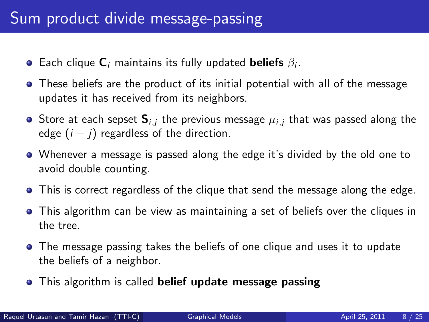- Each clique  ${\sf C}_i$  maintains its fully updated  ${\sf beliefs} \not \beta_i.$
- These beliefs are the product of its initial potential with all of the message updates it has received from its neighbors.
- Store at each sepset  $S_{i,j}$  the previous message  $\mu_{i,j}$  that was passed along the edge  $(i - j)$  regardless of the direction.
- Whenever a message is passed along the edge it's divided by the old one to avoid double counting.
- **•** This is correct regardless of the clique that send the message along the edge.
- This algorithm can be view as maintaining a set of beliefs over the cliques in the tree.
- The message passing takes the beliefs of one clique and uses it to update the beliefs of a neighbor.
- This algorithm is called **belief update message passing**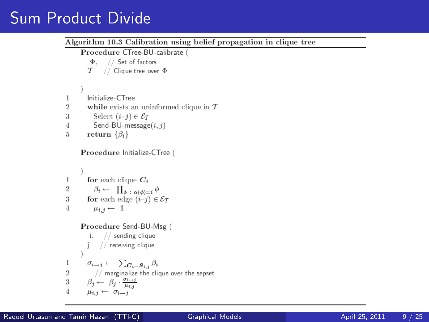# Sum Product Divide

Algorithm 10.3 Calibration using belief propagation in clique tree Procedure CTree-BU-calibrate (  $\Phi$ , // Set of factors  $T$  // Clique tree over  $\Phi$ Initialize-CTree  $\mathbf{1}$  $\overline{2}$ while exists an uninformed clique in  $T$ Select  $(i-j) \in \mathcal{E}_T$ 3 Send-BU-message $(i, j)$  $\overline{4}$ 5 return  $\{\beta_i\}$ Procedure Initialize-CTree ( for each clique  $C_i$  $\mathbf{1}$  $\overline{2}$  $\beta_i \leftarrow \prod_{\phi : \alpha(\phi)=i} \phi$ for each edge  $(i-j) \in \mathcal{E}_{\mathcal{T}}$ 3  $\mu_{i,i} \leftarrow 1$ Procedure Send-BU-Msg (  $i,$  // sending clique j. // receiving clique 1  $\sigma_{i\rightarrow j} \leftarrow \sum_{\mathbf{C}_i=\mathbf{S}_{i,j}} \beta_i$ // marginalize the clique over the sepset  $\overline{2}$ 3  $\beta_j \leftarrow \beta_j \cdot \frac{\sigma_{i \to j}}{\mu_{i,j}}$  $\mu_{i,i} \leftarrow \sigma_{i \rightarrow i}$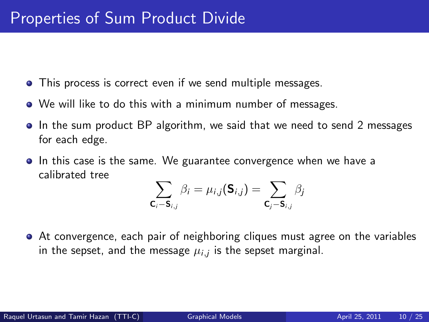- This process is correct even if we send multiple messages.
- We will like to do this with a minimum number of messages.
- In the sum product BP algorithm, we said that we need to send 2 messages for each edge.
- In this case is the same. We guarantee convergence when we have a calibrated tree

$$
\sum_{\mathsf{C}_{i}-\mathsf{S}_{i,j}}\beta_{i}=\mu_{i,j}(\mathsf{S}_{i,j})=\sum_{\mathsf{C}_{j}-\mathsf{S}_{i,j}}\beta_{j}
$$

At convergence, each pair of neighboring cliques must agree on the variables in the sepset, and the message  $\mu_{i,j}$  is the sepset marginal.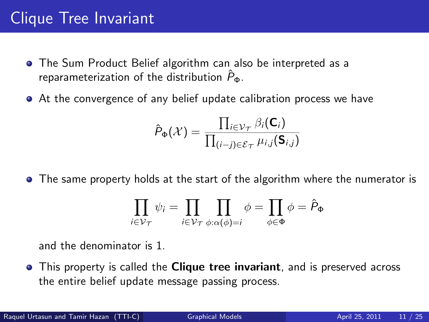# Clique Tree Invariant

- The Sum Product Belief algorithm can also be interpreted as a reparameterization of the distribution  $\hat{P}_{\Phi}$ .
- At the convergence of any belief update calibration process we have

$$
\hat{P}_{\Phi}(\mathcal{X}) = \frac{\prod_{i \in \mathcal{V}_{\mathcal{T}}} \beta_i(\mathbf{C}_i)}{\prod_{(i-j) \in \mathcal{E}_{\mathcal{T}}} \mu_{i,j}(\mathbf{S}_{i,j})}
$$

• The same property holds at the start of the algorithm where the numerator is

$$
\prod_{i\in\mathcal{V}_{\mathcal{T}}}\psi_i=\prod_{i\in\mathcal{V}_{\mathcal{T}}}\prod_{\phi:\alpha(\phi)=i}\phi=\prod_{\phi\in\Phi}\phi=\hat{P}_{\Phi}
$$

and the denominator is 1.

• This property is called the **Clique tree invariant**, and is preserved across the entire belief update message passing process.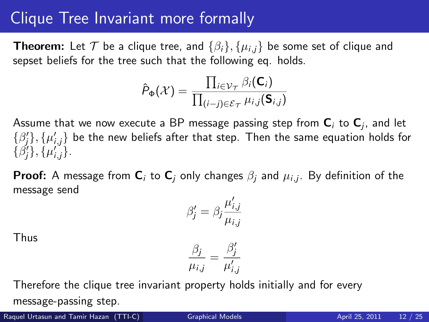### Clique Tree Invariant more formally

**Theorem:** Let T be a clique tree, and  $\{\beta_i\}, \{\mu_{i,i}\}\$  be some set of clique and sepset beliefs for the tree such that the following eq. holds.

$$
\hat{P}_{\Phi}(\mathcal{X}) = \frac{\prod_{i \in \mathcal{V}_{\mathcal{T}}} \beta_i(\mathsf{C}_i)}{\prod_{(i-j) \in \mathcal{E}_{\mathcal{T}}} \mu_{i,j}(\mathsf{S}_{i,j})}
$$

Assume that we now execute a BP message passing step from  ${\sf C}_i$  to  ${\sf C}_j$ , and let  $\{\beta_j^\prime\}, \{\mu_{i,j}^\prime\}$  be the new beliefs after that step. Then the same equation holds for  $\{\beta'_{j}\}, \{\mu'_{i,j}\}.$ 

**Proof:** A message from  $\mathsf{C}_i$  to  $\mathsf{C}_j$  only changes  $\beta_j$  and  $\mu_{i,j}$ . By definition of the message send

$$
\beta_j' = \beta_j \frac{\mu_{i,j}'}{\mu_{i,j}}
$$

Thus

$$
\frac{\beta_j}{\mu_{i,j}} = \frac{\beta'_j}{\mu'_{i,j}}
$$

Therefore the clique tree invariant property holds initially and for every message-passing step.

Raquel Urtasun and Tamir Hazan (TTI-C) [Graphical Models](#page-0-0) **April 25, 2011** 12 / 25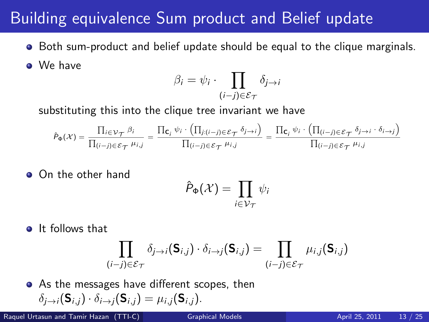### Building equivalence Sum product and Belief update

**•** Both sum-product and belief update should be equal to the clique marginals.

**o** We have

$$
\beta_i = \psi_i \cdot \prod_{(i-j)\in \mathcal{E}_{\mathcal{T}}} \delta_{j \to i}
$$

substituting this into the clique tree invariant we have

$$
\hat{P}_{\Phi}(\mathcal{X}) = \frac{\prod_{i \in \mathcal{V}_{\mathcal{T}}} \beta_i}{\prod_{(i-j) \in \mathcal{E}_{\mathcal{T}}} \mu_{i,j}} = \frac{\prod_{\mathbf{c}_i} \psi_i \cdot \left( \prod_{j:(i-j) \in \mathcal{E}_{\mathcal{T}}} \delta_{j \to i} \right)}{\prod_{(i-j) \in \mathcal{E}_{\mathcal{T}}} \mu_{i,j}} = \frac{\prod_{\mathbf{c}_i} \psi_i \cdot \left( \prod_{(i-j) \in \mathcal{E}_{\mathcal{T}}} \delta_{j \to i} \cdot \delta_{i \to j} \right)}{\prod_{(i-j) \in \mathcal{E}_{\mathcal{T}}} \mu_{i,j}}
$$

**On the other hand** 

$$
\hat{P}_{\Phi}(\mathcal{X}) = \prod_{i \in \mathcal{V}_{\mathcal{T}}} \psi_i
$$

**o** It follows that

$$
\prod_{(i-j)\in\mathcal{E}_{\mathcal{T}}}\delta_{j\rightarrow i}(\mathbf{S}_{i,j})\cdot\delta_{i\rightarrow j}(\mathbf{S}_{i,j})=\prod_{(i-j)\in\mathcal{E}_{\mathcal{T}}}\mu_{i,j}(\mathbf{S}_{i,j})
$$

• As the messages have different scopes, then  $\delta_{i\rightarrow i}(\mathbf{S}_{i,i})\cdot \delta_{i\rightarrow i}(\mathbf{S}_{i,i})=\mu_{i,i}(\mathbf{S}_{i,i}).$ 

Raquel Urtasun and Tamir Hazan (TTI-C) [Graphical Models](#page-0-0) **April 25, 2011** 13 / 25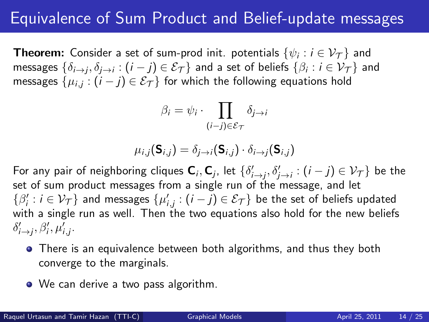# Equivalence of Sum Product and Belief-update messages

**Theorem:** Consider a set of sum-prod init. potentials  $\{\psi_i : i \in \mathcal{V_T}\}$  and messages  $\{\delta_{i\to j},\delta_{j\to i}:(i-j)\in\mathcal{E}_{\mathcal{T}}\}$  and a set of beliefs  $\{\beta_i:i\in\mathcal{V}_{\mathcal{T}}\}$  and messages  $\{\mu_{i,j}:(i-j)\in\mathcal{E}_{\mathcal{T}}\}$  for which the following equations hold

$$
\beta_i = \psi_i \cdot \prod_{(i-j)\in \mathcal{E}_{\mathcal{T}}} \delta_{j \to i}
$$

$$
\mu_{i,j}(\mathbf{S}_{i,j}) = \delta_{j \to i}(\mathbf{S}_{i,j}) \cdot \delta_{i \to j}(\mathbf{S}_{i,j})
$$

For any pair of neighboring cliques  ${\sf C}_i, {\sf C}_j$ , let  $\{\delta'_{i\to j}, \delta'_{j\to i} : (i-j)\in {\cal V}_{\cal T}\}$  be the set of sum product messages from a single run of the message, and let  $\{\beta_i':i\in \mathcal{V}_{\mathcal{T}}\}$  and messages  $\{\mu_{i,j}':(i-j)\in \mathcal{E}_{\mathcal{T}}\}$  be the set of beliefs updated with a single run as well. Then the two equations also hold for the new beliefs  $\delta'_{i\to j}, \beta'_i, \mu'_{i,j}.$ 

- There is an equivalence between both algorithms, and thus they both converge to the marginals.
- We can derive a two pass algorithm.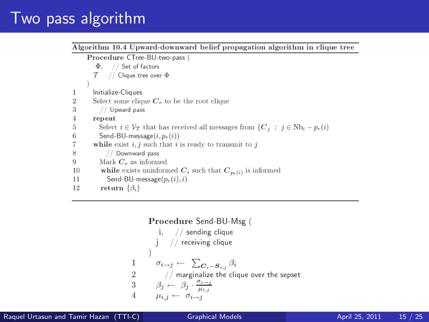### Two pass algorithm

Algorithm 10.4 Upward-downward belief propagation algorithm in clique tree

Procedure CTree-BU-two-pass (  $\Phi$ , // Set of factors  $T$  // Clique tree over  $\Phi$ Initialize-Cliques 1 Select some clique  $C_r$  to be the root clique  $\overline{2}$ 3 // Upward pass  $\overline{4}$ repeat Select  $i \in \mathcal{V}_T$  that has received all messages from  $\{C_j : j \in \mathbb{N}\}_{i} - p_r(i)$ 5 Send-BU-message $(i, p_r(i))$ 6 7 while exist  $i, j$  such that i is ready to transmit to j 8 // Downward pass 9 Mark  $C_r$  as informed 10 while exists uninformed  $C_i$  such that  $C_{p_n(i)}$  is informed 11 Send-BU-message $(p_r(i), i)$ 12 return  $\{\beta_i\}$ 

```
Procedure Send-BU-Msg (
              i, // sending clique
            j // receiving clique
          \sigma_{i\rightarrow j} \leftarrow \sum_{\mathbf{C}_i=\mathbf{S}_{i,i}} \beta_i1
\overline{2}\sqrt{2} marginalize the clique over the sepset
\overline{3}\beta_j \leftarrow \beta_j \cdot \frac{\sigma_{i \rightarrow j}}{\mu_{i \rightarrow j}}4
            \mu_{i,j} \leftarrow \sigma_{i \rightarrow j}
```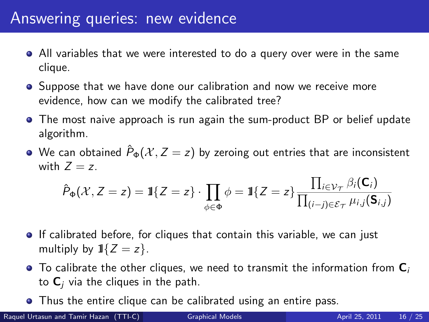## Answering queries: new evidence

- All variables that we were interested to do a query over were in the same clique.
- **•** Suppose that we have done our calibration and now we receive more evidence, how can we modify the calibrated tree?
- The most naive approach is run again the sum-product BP or belief update algorithm.
- We can obtained  $\hat{P}_{\Phi}(\mathcal{X}, Z = z)$  by zeroing out entries that are inconsistent with  $Z = z$ .

$$
\hat{P}_{\Phi}(\mathcal{X}, Z=z) = \mathbb{1}\{Z=z\} \cdot \prod_{\phi \in \Phi} \phi = \mathbb{1}\{Z=z\} \frac{\prod_{i \in \mathcal{V}_{\mathcal{T}}}\beta_i(\mathbf{C}_i)}{\prod_{(i-j) \in \mathcal{E}_{\mathcal{T}}}\mu_{i,j}(\mathbf{S}_{i,j})}
$$

- **If calibrated before, for cliques that contain this variable, we can just** multiply by  $1\{Z = z\}$ .
- $\bullet$  To calibrate the other cliques, we need to transmit the information from  $\mathbf{C}_i$ to  $C_i$  via the cliques in the path.
- **•** Thus the entire clique can be calibrated using an entire pass.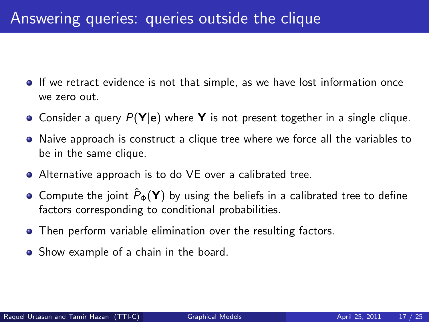## Answering queries: queries outside the clique

- **If we retract evidence is not that simple, as we have lost information once** we zero out.
- Consider a query  $P(Y|e)$  where Y is not present together in a single clique.
- Naive approach is construct a clique tree where we force all the variables to be in the same clique.
- Alternative approach is to do VE over a calibrated tree.
- Compute the joint  $\hat{P}_{\Phi}(\mathbf{Y})$  by using the beliefs in a calibrated tree to define factors corresponding to conditional probabilities.
- **•** Then perform variable elimination over the resulting factors.
- Show example of a chain in the board.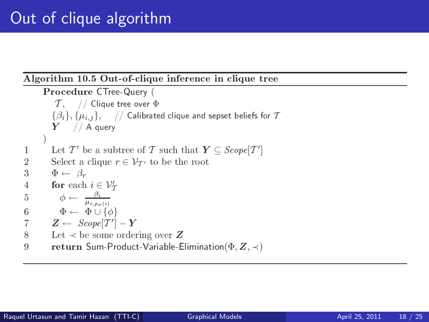#### Algorithm 10.5 Out-of-clique inference in clique tree

```
Procedure CTree-Query (
           \mathcal{T}, // Clique tree over \Phi\{\beta_i\}, \{\mu_{i,j}\}, // Calibrated clique and sepset beliefs for T
          Y // A query
          Let T' be a subtree of T such that Y \subseteq \text{Scope}[T']\mathbf 1\overline{2}Select a clique r \in \mathcal{V}_{\mathcal{T}'} to be the root
3
          \Phi \leftarrow \beta_rfor each i \in \mathcal{V}'_{\mathcal{T}}\overline{4}\phi \leftarrow \frac{\beta_i}{\mu_{i,p_r(i)}}\overline{5}\Phi \leftarrow \Phi \cup \{\phi\}6
\overline{7}Z \leftarrow \; \mathit{Scope}[T'] - Y8
          Let \prec be some ordering over Z
9
          return Sum-Product-Variable-Elimination(\Phi, Z, \prec)
```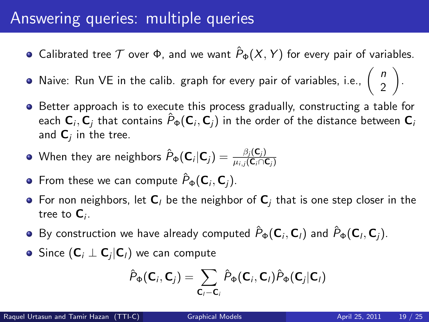#### Answering queries: multiple queries

- Calibrated tree  $T$  over  $\Phi$ , and we want  $\hat{P}_{\Phi}(X, Y)$  for every pair of variables.
- Naive: Run VE in the calib. graph for every pair of variables, i.e.,  $\begin{pmatrix} n \\ 2 \end{pmatrix}$ 2
- **•** Better approach is to execute this process gradually, constructing a table for each  ${\sf C}_i, {\sf C}_j$  that contains  $\hat P_\Phi({\sf C}_i,{\sf C}_j)$  in the order of the distance between  ${\sf C}_i$ and  $\mathsf{C}_j$  in the tree.
- When they are neighbors  $\hat{P}_\Phi(\mathbf{C}_i|\mathbf{C}_j) = \frac{\beta_j(\mathbf{C}_j)}{\mu_{i,j}(\mathbf{C}_i\cap \mathbf{C}_j)}$
- From these we can compute  $\hat{P}_\Phi(\mathsf{C}_i,\mathsf{C}_j).$
- For non neighbors, let  $C_l$  be the neighbor of  $C_i$  that is one step closer in the tree to  ${\bf C}_i.$
- By construction we have already computed  $\hat P_{\Phi}({\bf C}_i,{\bf C}_l)$  and  $\hat P_{\Phi}({\bf C}_l,{\bf C}_j).$
- Since  $(\textbf{C}_i \perp \textbf{C}_j | \textbf{C}_l)$  we can compute

$$
\hat{P}_{\Phi}(\mathbf{C}_i, \mathbf{C}_j) = \sum_{\mathbf{C}_i - \mathbf{C}_i} \hat{P}_{\Phi}(\mathbf{C}_i, \mathbf{C}_i) \hat{P}_{\Phi}(\mathbf{C}_j | \mathbf{C}_i)
$$

.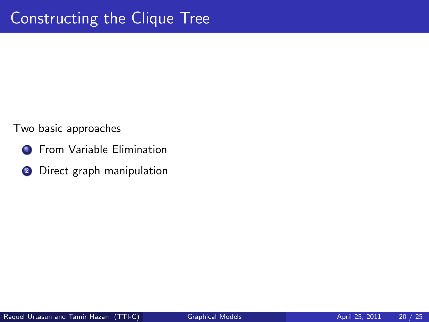Two basic approaches

- **1** From Variable Elimination
- <sup>2</sup> Direct graph manipulation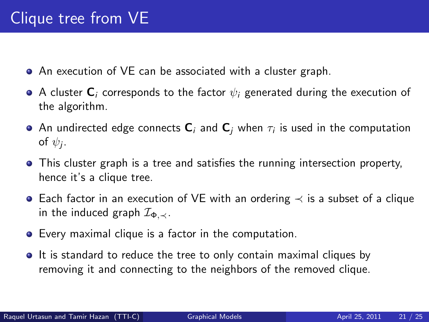- An execution of VE can be associated with a cluster graph.
- A cluster  $\mathbf{C}_i$  corresponds to the factor  $\psi_i$  generated during the execution of the algorithm.
- An undirected edge connects  ${\sf C}_i$  and  ${\sf C}_j$  when  $\tau_i$  is used in the computation of  $\psi_j$ .
- This cluster graph is a tree and satisfies the running intersection property, hence it's a clique tree.
- Each factor in an execution of VE with an ordering ≺ is a subset of a clique in the induced graph  $\mathcal{I}_{\Phi, \prec}$ .
- Every maximal clique is a factor in the computation.
- It is standard to reduce the tree to only contain maximal cliques by removing it and connecting to the neighbors of the removed clique.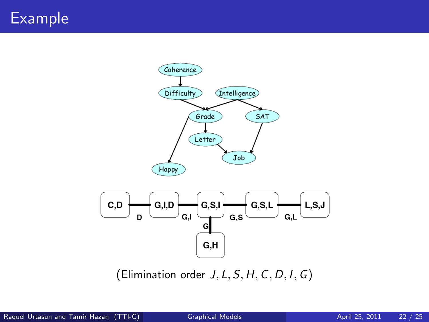# Example

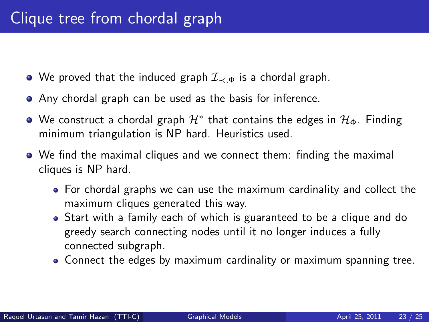- We proved that the induced graph  $\mathcal{I}_{\prec,\Phi}$  is a chordal graph.
- Any chordal graph can be used as the basis for inference.
- We construct a chordal graph  $\mathcal{H}^*$  that contains the edges in  $\mathcal{H}_\Phi.$  Finding minimum triangulation is NP hard. Heuristics used.
- We find the maximal cliques and we connect them: finding the maximal cliques is NP hard.
	- For chordal graphs we can use the maximum cardinality and collect the maximum cliques generated this way.
	- Start with a family each of which is guaranteed to be a clique and do greedy search connecting nodes until it no longer induces a fully connected subgraph.
	- Connect the edges by maximum cardinality or maximum spanning tree.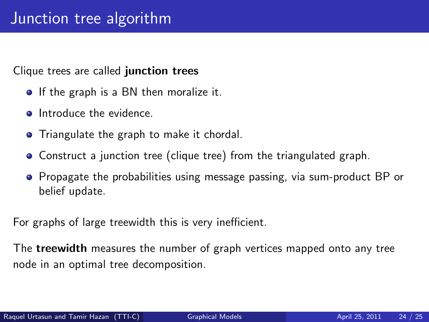Clique trees are called junction trees

- **If the graph is a BN then moralize it.**
- **a** Introduce the evidence
- **•** Triangulate the graph to make it chordal.
- Construct a junction tree (clique tree) from the triangulated graph.
- Propagate the probabilities using message passing, via sum-product BP or belief update.

For graphs of large treewidth this is very inefficient.

The **treewidth** measures the number of graph vertices mapped onto any tree node in an optimal tree decomposition.